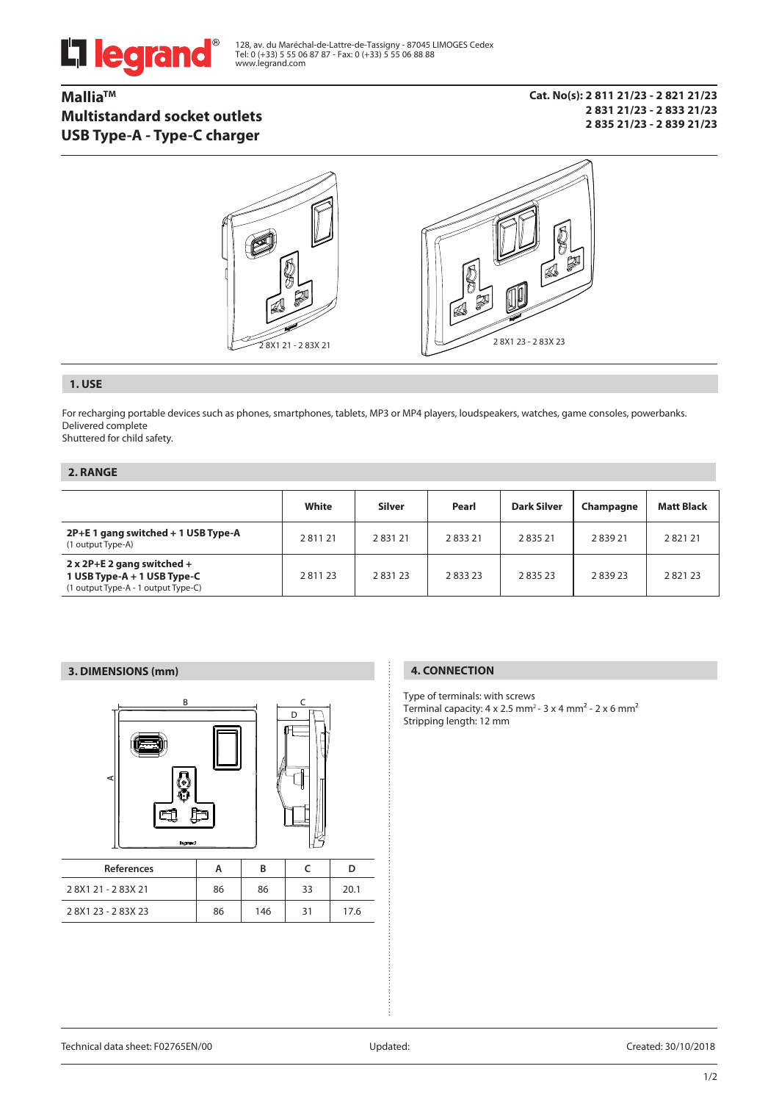

128, av. du Maréchal-de-Lattre-de-Tassigny - 87045 LIMOGES Cedex Tel: 0 (+33) 5 55 06 87 87 - Fax: 0 (+33) 5 55 06 88 88 www.legrand.com

# **MalliaTM Multistandard socket outlets USB Type-A - Type-C charger**

**Cat. No(s): 2 811 21/23 - 2 821 21/23 2 831 21/23 - 2 833 21/23 2 835 21/23 - 2 839 21/23**



## **1. USE**

For recharging portable devices such as phones, smartphones, tablets, MP3 or MP4 players, loudspeakers, watches, game consoles, powerbanks. Delivered complete

Shuttered for child safety.

## **2. RANGE**

|                                                                                                           | White  | <b>Silver</b> | Pearl  | <b>Dark Silver</b> | Champagne | <b>Matt Black</b> |
|-----------------------------------------------------------------------------------------------------------|--------|---------------|--------|--------------------|-----------|-------------------|
| 2P+E 1 gang switched + 1 USB Type-A<br>(1 output Type-A)                                                  | 281121 | 283121        | 283321 | 283521             | 283921    | 282121            |
| $2 \times 2P + E$ 2 gang switched +<br>1 USB Type-A + 1 USB Type-C<br>(1 output Type-A - 1 output Type-C) | 281123 | 283123        | 283323 | 283523             | 283923    | 282123            |

## **3. DIMENSIONS (mm) 4. CONNECTION**



| <b>References</b> |    | в   |    |      |
|-------------------|----|-----|----|------|
| 28X121-283X21     | 86 | 86  | 33 | 20.1 |
| 28X123-283X23     | 86 | 146 | 31 | 17.6 |

Type of terminals: with screws Terminal capacity:  $4 \times 2.5$  mm<sup>2</sup> -  $3 \times 4$  mm<sup>2</sup> -  $2 \times 6$  mm<sup>2</sup> Stripping length: 12 mm